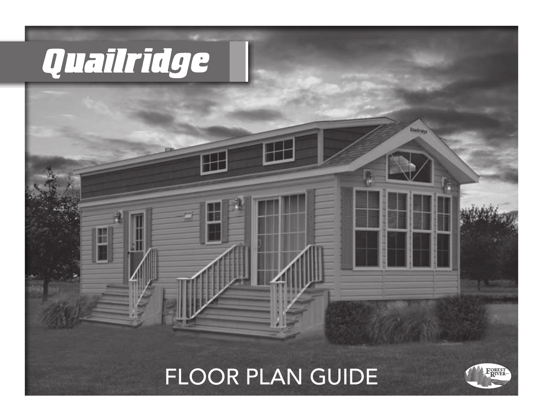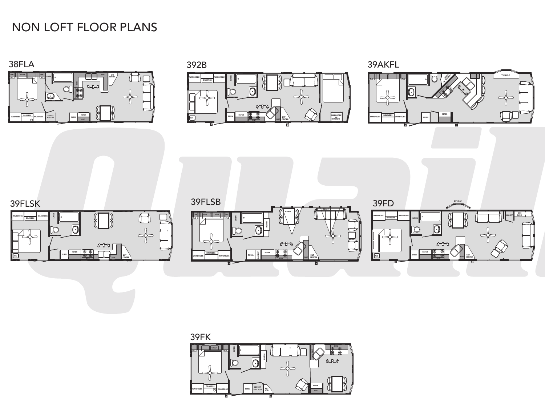## NON LOFT FLOOR PLANS



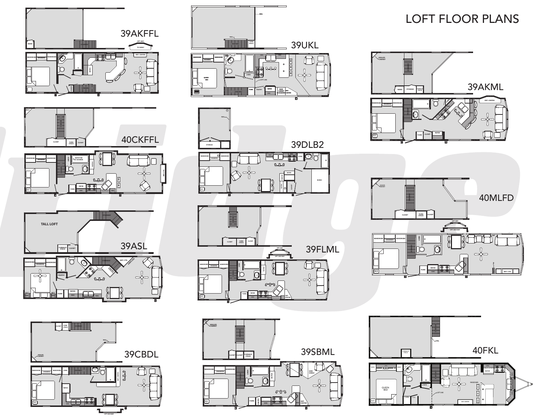



## LOFT FLOOR PLANS